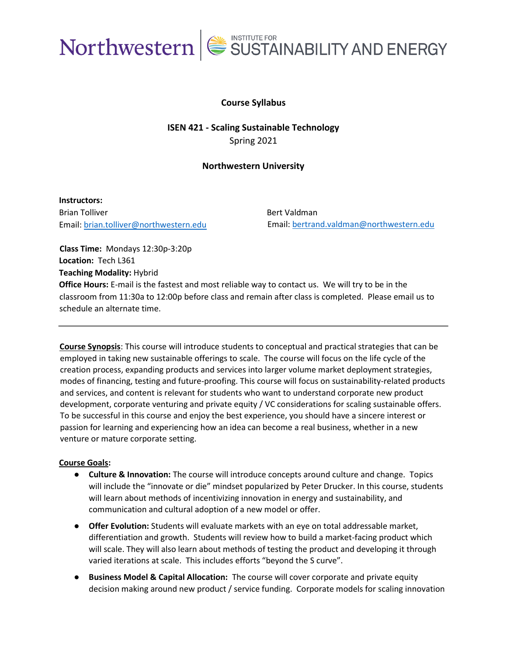

### **Course Syllabus**

**ISEN 421 - Scaling Sustainable Technology** Spring 2021

#### **Northwestern University**

**Instructors:**  Brian Tolliver Email: [brian.tolliver@northwestern.edu](mailto:brian.tolliver@northwestern.edu)

Bert Valdman Email: [bertrand.valdman@northwestern.edu](mailto:bertrand.valdman@northwestern.edu)

**Class Time:** Mondays 12:30p-3:20p **Location:** Tech L361 **Teaching Modality:** Hybrid **Office Hours:** E-mail is the fastest and most reliable way to contact us. We will try to be in the classroom from 11:30a to 12:00p before class and remain after class is completed. Please email us to schedule an alternate time.

**Course Synopsis**: This course will introduce students to conceptual and practical strategies that can be employed in taking new sustainable offerings to scale. The course will focus on the life cycle of the creation process, expanding products and services into larger volume market deployment strategies, modes of financing, testing and future-proofing. This course will focus on sustainability-related products and services, and content is relevant for students who want to understand corporate new product development, corporate venturing and private equity / VC considerations for scaling sustainable offers. To be successful in this course and enjoy the best experience, you should have a sincere interest or passion for learning and experiencing how an idea can become a real business, whether in a new venture or mature corporate setting.

#### **Course Goals:**

- **Culture & Innovation:** The course will introduce concepts around culture and change.Topics will include the "innovate or die" mindset popularized by Peter Drucker. In this course, students will learn about methods of incentivizing innovation in energy and sustainability, and communication and cultural adoption of a new model or offer.
- **Offer Evolution:** Students will evaluate markets with an eye on total addressable market, differentiation and growth. Students will review how to build a market-facing product which will scale. They will also learn about methods of testing the product and developing it through varied iterations at scale. This includes efforts "beyond the S curve".
- **Business Model & Capital Allocation:** The course will cover corporate and private equity decision making around new product / service funding. Corporate models for scaling innovation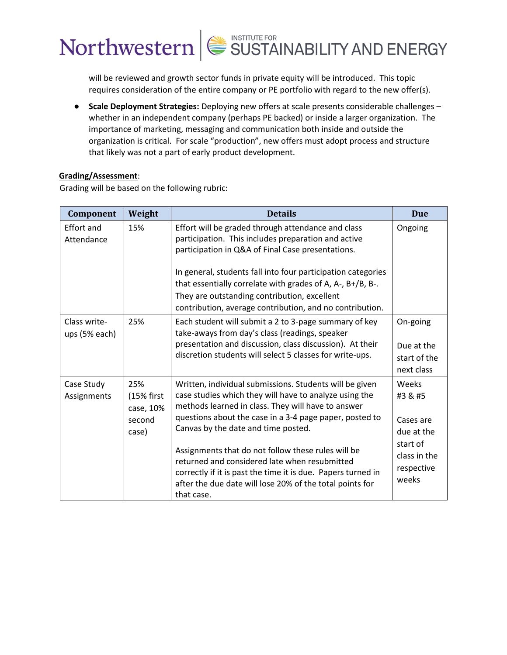will be reviewed and growth sector funds in private equity will be introduced. This topic requires consideration of the entire company or PE portfolio with regard to the new offer(s).

● **Scale Deployment Strategies:** Deploying new offers at scale presents considerable challenges – whether in an independent company (perhaps PE backed) or inside a larger organization. The importance of marketing, messaging and communication both inside and outside the organization is critical. For scale "production", new offers must adopt process and structure that likely was not a part of early product development.

#### **Grading/Assessment**:

Grading will be based on the following rubric:

| Component                     | Weight                                            | <b>Details</b>                                                                                                                                                                                                                                                                                                                                                                                                                                                                                                             | <b>Due</b>                                                                                     |
|-------------------------------|---------------------------------------------------|----------------------------------------------------------------------------------------------------------------------------------------------------------------------------------------------------------------------------------------------------------------------------------------------------------------------------------------------------------------------------------------------------------------------------------------------------------------------------------------------------------------------------|------------------------------------------------------------------------------------------------|
| Effort and<br>Attendance      | 15%                                               | Effort will be graded through attendance and class<br>participation. This includes preparation and active<br>participation in Q&A of Final Case presentations.<br>In general, students fall into four participation categories<br>that essentially correlate with grades of A, A-, B+/B, B-.<br>They are outstanding contribution, excellent<br>contribution, average contribution, and no contribution.                                                                                                                   | Ongoing                                                                                        |
| Class write-<br>ups (5% each) | 25%                                               | Each student will submit a 2 to 3-page summary of key<br>take-aways from day's class (readings, speaker<br>presentation and discussion, class discussion). At their<br>discretion students will select 5 classes for write-ups.                                                                                                                                                                                                                                                                                            | On-going<br>Due at the<br>start of the<br>next class                                           |
| Case Study<br>Assignments     | 25%<br>(15% first<br>case, 10%<br>second<br>case) | Written, individual submissions. Students will be given<br>case studies which they will have to analyze using the<br>methods learned in class. They will have to answer<br>questions about the case in a 3-4 page paper, posted to<br>Canvas by the date and time posted.<br>Assignments that do not follow these rules will be<br>returned and considered late when resubmitted<br>correctly if it is past the time it is due. Papers turned in<br>after the due date will lose 20% of the total points for<br>that case. | Weeks<br>#3 & #5<br>Cases are<br>due at the<br>start of<br>class in the<br>respective<br>weeks |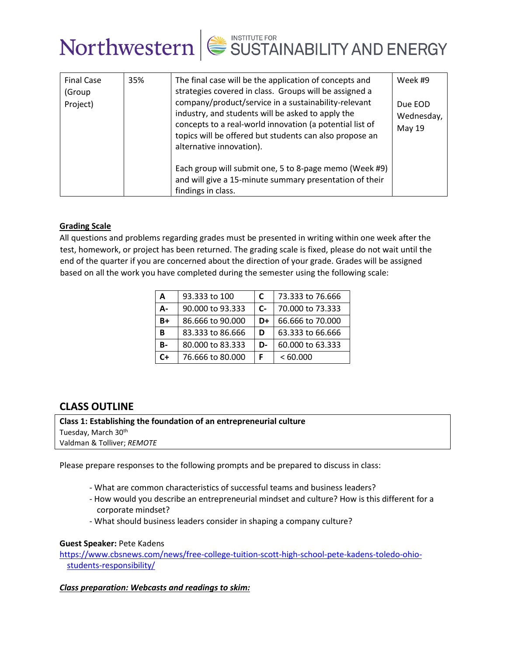

| <b>Final Case</b><br>(Group<br>Project) | 35% | The final case will be the application of concepts and<br>strategies covered in class. Groups will be assigned a<br>company/product/service in a sustainability-relevant<br>industry, and students will be asked to apply the<br>concepts to a real-world innovation (a potential list of<br>topics will be offered but students can also propose an<br>alternative innovation). | Week #9<br>Due EOD<br>Wednesday,<br>May 19 |
|-----------------------------------------|-----|----------------------------------------------------------------------------------------------------------------------------------------------------------------------------------------------------------------------------------------------------------------------------------------------------------------------------------------------------------------------------------|--------------------------------------------|
|                                         |     | Each group will submit one, 5 to 8-page memo (Week #9)<br>and will give a 15-minute summary presentation of their<br>findings in class.                                                                                                                                                                                                                                          |                                            |

#### **Grading Scale**

All questions and problems regarding grades must be presented in writing within one week after the test, homework, or project has been returned. The grading scale is fixed, please do not wait until the end of the quarter if you are concerned about the direction of your grade. Grades will be assigned based on all the work you have completed during the semester using the following scale:

| A         | 93.333 to 100    | C                    | 73.333 to 76.666 |
|-----------|------------------|----------------------|------------------|
| Д-        | 90,000 to 93,333 | $\mathsf{C}\text{-}$ | 70,000 to 73,333 |
| $B+$      | 86,666 to 90,000 | D+                   | 66.666 to 70.000 |
| B         | 83.333 to 86.666 | D                    | 63.333 to 66.666 |
| <b>B-</b> | 80,000 to 83,333 | D-                   | 60,000 to 63,333 |
| $C+$      | 76,666 to 80,000 | F                    | <60.000          |

### **CLASS OUTLINE**

**Class 1: Establishing the foundation of an entrepreneurial culture** Tuesday, March 30<sup>th</sup> Valdman & Tolliver; *REMOTE*

Please prepare responses to the following prompts and be prepared to discuss in class:

- What are common characteristics of successful teams and business leaders?
- How would you describe an entrepreneurial mindset and culture? How is this different for a corporate mindset?
- What should business leaders consider in shaping a company culture?

#### **Guest Speaker:** Pete Kadens

[https://www.cbsnews.com/news/free-college-tuition-scott-high-school-pete-kadens-toledo-ohio](https://www.cbsnews.com/news/free-college-tuition-scott-high-school-pete-kadens-toledo-ohio-students-responsibility/)[students-responsibility/](https://www.cbsnews.com/news/free-college-tuition-scott-high-school-pete-kadens-toledo-ohio-students-responsibility/)

#### *Class preparation: Webcasts and readings to skim:*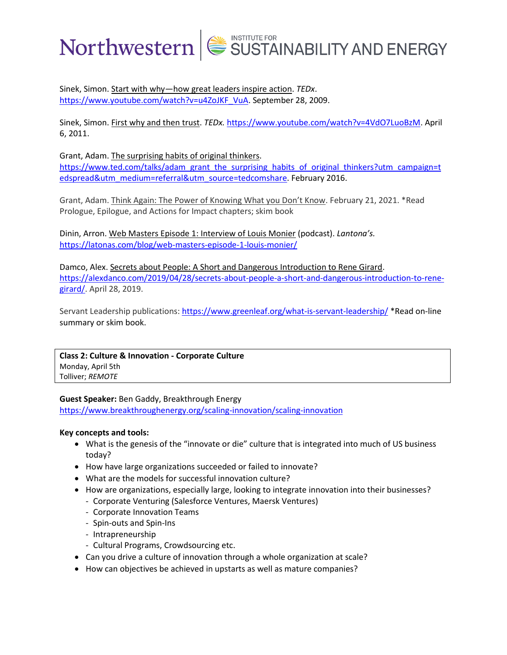Sinek, Simon. Start with why—how great leaders inspire action. *TEDx*. [https://www.youtube.com/watch?v=u4ZoJKF\\_VuA.](https://www.youtube.com/watch?v=u4ZoJKF_VuA) September 28, 2009.

Sinek, Simon. First why and then trust. *TEDx.* [https://www.youtube.com/watch?v=4VdO7LuoBzM.](https://www.youtube.com/watch?v=4VdO7LuoBzM) April 6, 2011.

Grant, Adam. The surprising habits of original thinkers.

[https://www.ted.com/talks/adam\\_grant\\_the\\_surprising\\_habits\\_of\\_original\\_thinkers?utm\\_campaign=t](https://www.ted.com/talks/adam_grant_the_surprising_habits_of_original_thinkers?utm_campaign=tedspread&utm_medium=referral&utm_source=tedcomshare) [edspread&utm\\_medium=referral&utm\\_source=tedcomshare.](https://www.ted.com/talks/adam_grant_the_surprising_habits_of_original_thinkers?utm_campaign=tedspread&utm_medium=referral&utm_source=tedcomshare) February 2016.

Grant, Adam. Think Again: The Power of Knowing What you Don't Know. February 21, 2021. \*Read Prologue, Epilogue, and Actions for Impact chapters; skim book

Dinin, Arron. Web Masters Episode 1: Interview of Louis Monier (podcast). *Lantona's.* <https://latonas.com/blog/web-masters-episode-1-louis-monier/>

Damco, Alex. Secrets about People: A Short and Dangerous Introduction to Rene Girard. [https://alexdanco.com/2019/04/28/secrets-about-people-a-short-and-dangerous-introduction-to-rene](https://alexdanco.com/2019/04/28/secrets-about-people-a-short-and-dangerous-introduction-to-rene-girard/)[girard/.](https://alexdanco.com/2019/04/28/secrets-about-people-a-short-and-dangerous-introduction-to-rene-girard/) April 28, 2019.

Servant Leadership publications: <https://www.greenleaf.org/what-is-servant-leadership/> \*Read on-line summary or skim book.

**Class 2: Culture & Innovation - Corporate Culture** Monday, April 5th Tolliver; *REMOTE*

#### **Guest Speaker:** Ben Gaddy, Breakthrough Energy

<https://www.breakthroughenergy.org/scaling-innovation/scaling-innovation>

#### **Key concepts and tools:**

- What is the genesis of the "innovate or die" culture that is integrated into much of US business today?
- How have large organizations succeeded or failed to innovate?
- What are the models for successful innovation culture?
- How are organizations, especially large, looking to integrate innovation into their businesses?
	- Corporate Venturing (Salesforce Ventures, Maersk Ventures)
	- Corporate Innovation Teams
	- Spin-outs and Spin-Ins
	- Intrapreneurship
	- Cultural Programs, Crowdsourcing etc.
- Can you drive a culture of innovation through a whole organization at scale?
- How can objectives be achieved in upstarts as well as mature companies?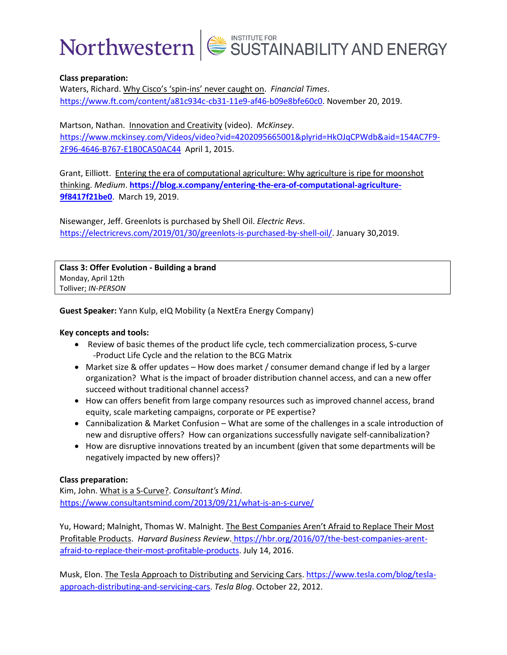

#### **Class preparation:**

Waters, Richard. Why Cisco's 'spin-ins' never caught on. *Financial Times*. [https://www.ft.com/content/a81c934c-cb31-11e9-af46-b09e8bfe60c0.](https://www.ft.com/content/a81c934c-cb31-11e9-af46-b09e8bfe60c0) November 20, 2019.

Martson, Nathan. Innovation and Creativity (video). *McKinsey*. [https://www.mckinsey.com/Videos/video?vid=4202095665001&plyrid=HkOJqCPWdb&aid=154AC7F9-](https://www.mckinsey.com/Videos/video?vid=4202095665001&plyrid=HkOJqCPWdb&aid=154AC7F9-2F96-4646-B767-E1B0CA50AC44)

[2F96-4646-B767-E1B0CA50AC44](https://www.mckinsey.com/Videos/video?vid=4202095665001&plyrid=HkOJqCPWdb&aid=154AC7F9-2F96-4646-B767-E1B0CA50AC44) April 1, 2015.

Grant, Eilliott. Entering the era of computational agriculture: Why agriculture is ripe for moonshot thinking. *Medium*. **[https://blog.x.company/entering-the-era-of-computational-agriculture-](https://blog.x.company/entering-the-era-of-computational-agriculture-9f8417f21be0)[9f8417f21be0](https://blog.x.company/entering-the-era-of-computational-agriculture-9f8417f21be0)**. March 19, 2019.

Nisewanger, Jeff. Greenlots is purchased by Shell Oil. *Electric Revs*. [https://electricrevs.com/2019/01/30/greenlots-is-purchased-by-shell-oil/.](https://electricrevs.com/2019/01/30/greenlots-is-purchased-by-shell-oil/) January 30,2019.

**Class 3: Offer Evolution - Building a brand** Monday, April 12th Tolliver; *IN-PERSON*

**Guest Speaker:** Yann Kulp, eIQ Mobility (a NextEra Energy Company)

#### **Key concepts and tools:**

- Review of basic themes of the product life cycle, tech commercialization process, S-curve -Product Life Cycle and the relation to the BCG Matrix
- Market size & offer updates How does market / consumer demand change if led by a larger organization? What is the impact of broader distribution channel access, and can a new offer succeed without traditional channel access?
- How can offers benefit from large company resources such as improved channel access, brand equity, scale marketing campaigns, corporate or PE expertise?
- Cannibalization & Market Confusion What are some of the challenges in a scale introduction of new and disruptive offers? How can organizations successfully navigate self-cannibalization?
- How are disruptive innovations treated by an incumbent (given that some departments will be negatively impacted by new offers)?

#### **Class preparation:**

Kim, John. What is a S-Curve?. *Consultant's Mind*. <https://www.consultantsmind.com/2013/09/21/what-is-an-s-curve/>

Yu, Howard; Malnight, Thomas W. Malnight. The Best Companies Aren't Afraid to Replace Their Most Profitable Products. *Harvard Business Review*. [https://hbr.org/2016/07/the-best-companies-arent](https://hbr.org/2016/07/the-best-companies-arent-afraid-to-replace-their-most-profitable-products)[afraid-to-replace-their-most-profitable-products.](https://hbr.org/2016/07/the-best-companies-arent-afraid-to-replace-their-most-profitable-products) July 14, 2016.

Musk, Elon. The Tesla Approach to Distributing and Servicing Cars. [https://www.tesla.com/blog/tesla](https://www.tesla.com/blog/tesla-approach-distributing-and-servicing-cars)[approach-distributing-and-servicing-cars.](https://www.tesla.com/blog/tesla-approach-distributing-and-servicing-cars) *Tesla Blog*. October 22, 2012.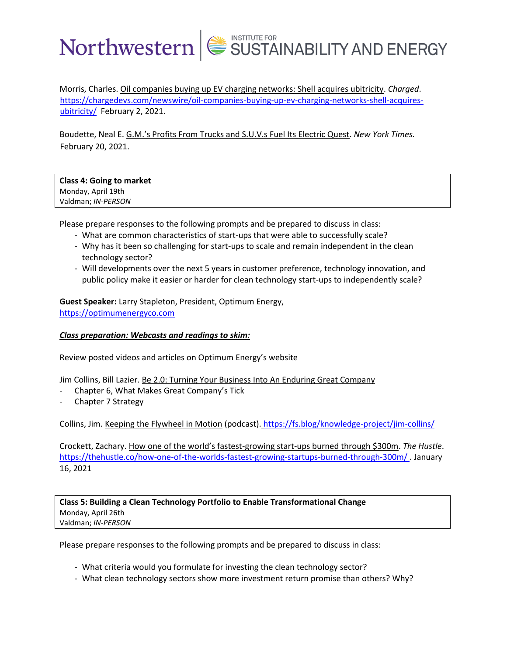Morris, Charles. Oil companies buying up EV charging networks: Shell acquires ubitricity. *Charged*. [https://chargedevs.com/newswire/oil-companies-buying-up-ev-charging-networks-shell-acquires](https://chargedevs.com/newswire/oil-companies-buying-up-ev-charging-networks-shell-acquires-ubitricity/)[ubitricity/](https://chargedevs.com/newswire/oil-companies-buying-up-ev-charging-networks-shell-acquires-ubitricity/) February 2, 2021.

Boudette, Neal E. G.M.'s Profits From Trucks and S.U.V.s Fuel Its Electric Quest. *New York Times.* February 20, 2021.

#### **Class 4: Going to market** Monday, April 19th Valdman; *IN-PERSON*

Please prepare responses to the following prompts and be prepared to discuss in class:

- What are common characteristics of start-ups that were able to successfully scale?
- Why has it been so challenging for start-ups to scale and remain independent in the clean technology sector?
- Will developments over the next 5 years in customer preference, technology innovation, and public policy make it easier or harder for clean technology start-ups to independently scale?

**Guest Speaker:** Larry Stapleton, President, Optimum Energy, [https://optimumenergyco.com](https://optimumenergyco.com/)

#### *Class preparation: Webcasts and readings to skim:*

Review posted videos and articles on Optimum Energy's website

Jim Collins, Bill Lazier. Be 2.0: Turning Your Business Into An Enduring Great Company

- Chapter 6, What Makes Great Company's Tick
- Chapter 7 Strategy

Collins, Jim. Keeping the Flywheel in Motion (podcast). <https://fs.blog/knowledge-project/jim-collins/>

Crockett, Zachary. How one of the world's fastest-growing start-ups burned through \$300m. *The Hustle*. <https://thehustle.co/how-one-of-the-worlds-fastest-growing-startups-burned-through-300m/> . January 16, 2021

**Class 5: Building a Clean Technology Portfolio to Enable Transformational Change** Monday, April 26th Valdman; *IN-PERSON*

Please prepare responses to the following prompts and be prepared to discuss in class:

- What criteria would you formulate for investing the clean technology sector?
- What clean technology sectors show more investment return promise than others? Why?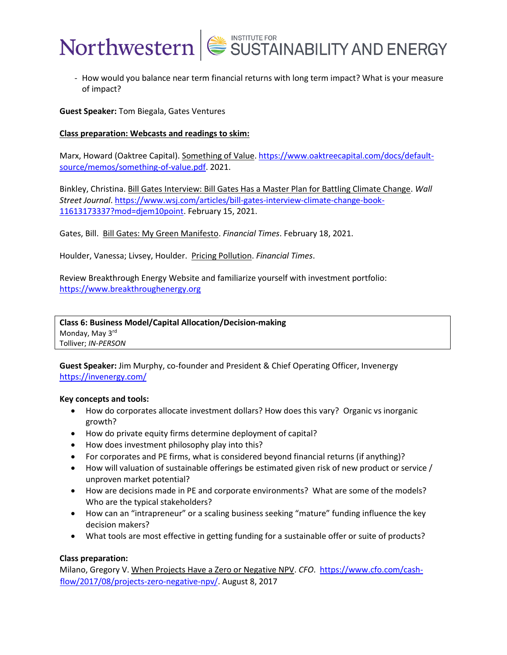

- How would you balance near term financial returns with long term impact? What is your measure of impact?

**Guest Speaker:** Tom Biegala, Gates Ventures

#### **Class preparation: Webcasts and readings to skim:**

Marx, Howard (Oaktree Capital). Something of Value[. https://www.oaktreecapital.com/docs/default](https://www.oaktreecapital.com/docs/default-source/memos/something-of-value.pdf)[source/memos/something-of-value.pdf.](https://www.oaktreecapital.com/docs/default-source/memos/something-of-value.pdf) 2021.

Binkley, Christina. Bill Gates Interview: Bill Gates Has a Master Plan for Battling Climate Change. *Wall Street Journal*. [https://www.wsj.com/articles/bill-gates-interview-climate-change-book-](https://www.wsj.com/articles/bill-gates-interview-climate-change-book-11613173337?mod=djem10point)[11613173337?mod=djem10point.](https://www.wsj.com/articles/bill-gates-interview-climate-change-book-11613173337?mod=djem10point) February 15, 2021.

Gates, Bill. Bill Gates: My Green Manifesto. *Financial Times*. February 18, 2021.

Houlder, Vanessa; Livsey, Houlder. Pricing Pollution. *Financial Times*.

Review Breakthrough Energy Website and familiarize yourself with investment portfolio: [https://www.breakthroughenergy.org](https://www.breakthroughenergy.org/)

**Class 6: Business Model/Capital Allocation/Decision-making** Monday, May 3<sup>rd</sup> Tolliver; *IN-PERSON*

**Guest Speaker:** Jim Murphy, co-founder and President & Chief Operating Officer, Invenergy <https://invenergy.com/>

#### **Key concepts and tools:**

- How do corporates allocate investment dollars? How does this vary? Organic vs inorganic growth?
- How do private equity firms determine deployment of capital?
- How does investment philosophy play into this?
- For corporates and PE firms, what is considered beyond financial returns (if anything)?
- How will valuation of sustainable offerings be estimated given risk of new product or service / unproven market potential?
- How are decisions made in PE and corporate environments? What are some of the models? Who are the typical stakeholders?
- How can an "intrapreneur" or a scaling business seeking "mature" funding influence the key decision makers?
- What tools are most effective in getting funding for a sustainable offer or suite of products?

#### **Class preparation:**

Milano, Gregory V. When Projects Have a Zero or Negative NPV. *CFO*. [https://www.cfo.com/cash](https://www.cfo.com/cash-flow/2017/08/projects-zero-negative-npv/)[flow/2017/08/projects-zero-negative-npv/.](https://www.cfo.com/cash-flow/2017/08/projects-zero-negative-npv/) August 8, 2017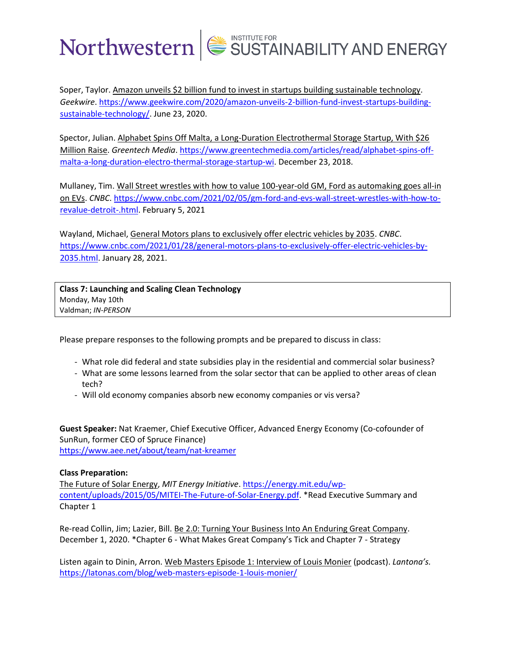Soper, Taylor. Amazon unveils \$2 billion fund to invest in startups building sustainable technology. *Geekwire*[. https://www.geekwire.com/2020/amazon-unveils-2-billion-fund-invest-startups-building](https://www.geekwire.com/2020/amazon-unveils-2-billion-fund-invest-startups-building-sustainable-technology/)[sustainable-technology/.](https://www.geekwire.com/2020/amazon-unveils-2-billion-fund-invest-startups-building-sustainable-technology/) June 23, 2020.

Spector, Julian. Alphabet Spins Off Malta, a Long-Duration Electrothermal Storage Startup, With \$26 Million Raise. *Greentech Media*. [https://www.greentechmedia.com/articles/read/alphabet-spins-off](https://www.greentechmedia.com/articles/read/alphabet-spins-off-malta-a-long-duration-electro-thermal-storage-startup-wi)[malta-a-long-duration-electro-thermal-storage-startup-wi.](https://www.greentechmedia.com/articles/read/alphabet-spins-off-malta-a-long-duration-electro-thermal-storage-startup-wi) December 23, 2018.

Mullaney, Tim. Wall Street wrestles with how to value 100-year-old GM, Ford as automaking goes all-in on EVs. *CNBC*[. https://www.cnbc.com/2021/02/05/gm-ford-and-evs-wall-street-wrestles-with-how-to](https://www.cnbc.com/2021/02/05/gm-ford-and-evs-wall-street-wrestles-with-how-to-revalue-detroit-.html)[revalue-detroit-.html.](https://www.cnbc.com/2021/02/05/gm-ford-and-evs-wall-street-wrestles-with-how-to-revalue-detroit-.html) February 5, 2021

Wayland, Michael, General Motors plans to exclusively offer electric vehicles by 2035. *CNBC*. [https://www.cnbc.com/2021/01/28/general-motors-plans-to-exclusively-offer-electric-vehicles-by-](https://www.cnbc.com/2021/01/28/general-motors-plans-to-exclusively-offer-electric-vehicles-by-2035.html)[2035.html.](https://www.cnbc.com/2021/01/28/general-motors-plans-to-exclusively-offer-electric-vehicles-by-2035.html) January 28, 2021.

**Class 7: Launching and Scaling Clean Technology** Monday, May 10th Valdman; *IN-PERSON*

Please prepare responses to the following prompts and be prepared to discuss in class:

- What role did federal and state subsidies play in the residential and commercial solar business?
- What are some lessons learned from the solar sector that can be applied to other areas of clean tech?
- Will old economy companies absorb new economy companies or vis versa?

**Guest Speaker:** Nat Kraemer, Chief Executive Officer, Advanced Energy Economy (Co-cofounder of SunRun, former CEO of Spruce Finance) <https://www.aee.net/about/team/nat-kreamer>

#### **Class Preparation:**

The Future of Solar Energy, *MIT Energy Initiative*. [https://energy.mit.edu/wp](https://energy.mit.edu/wp-content/uploads/2015/05/MITEI-The-Future-of-Solar-Energy.pdf)[content/uploads/2015/05/MITEI-The-Future-of-Solar-Energy.pdf.](https://energy.mit.edu/wp-content/uploads/2015/05/MITEI-The-Future-of-Solar-Energy.pdf) \*Read Executive Summary and Chapter 1

Re-read Collin, Jim; Lazier, Bill. Be 2.0: Turning Your Business Into An Enduring Great Company. December 1, 2020. \*Chapter 6 - What Makes Great Company's Tick and Chapter 7 - Strategy

Listen again to Dinin, Arron. Web Masters Episode 1: Interview of Louis Monier (podcast). *Lantona's.* <https://latonas.com/blog/web-masters-episode-1-louis-monier/>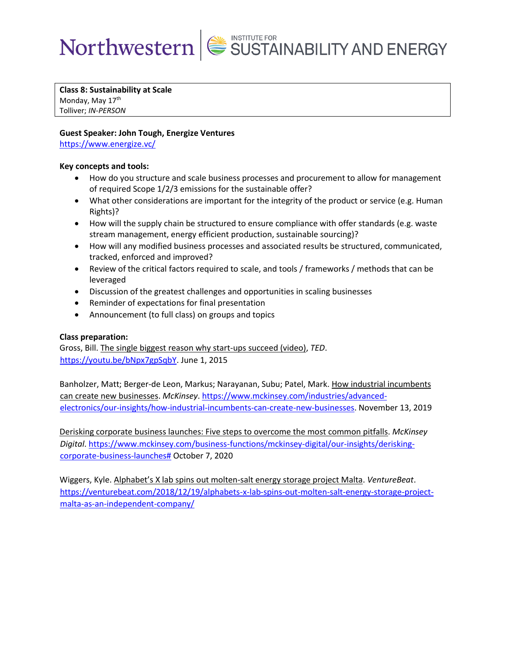**Class 8: Sustainability at Scale**

Monday, May 17<sup>th</sup> Tolliver; *IN-PERSON*

#### **Guest Speaker: John Tough, Energize Ventures**

<https://www.energize.vc/>

#### **Key concepts and tools:**

- How do you structure and scale business processes and procurement to allow for management of required Scope 1/2/3 emissions for the sustainable offer?
- What other considerations are important for the integrity of the product or service (e.g. Human Rights)?
- How will the supply chain be structured to ensure compliance with offer standards (e.g. waste stream management, energy efficient production, sustainable sourcing)?
- How will any modified business processes and associated results be structured, communicated, tracked, enforced and improved?
- Review of the critical factors required to scale, and tools / frameworks / methods that can be leveraged
- Discussion of the greatest challenges and opportunities in scaling businesses
- Reminder of expectations for final presentation
- Announcement (to full class) on groups and topics

### **Class preparation:**

Gross, Bill. The single biggest reason why start-ups succeed (video), *TED*. [https://youtu.be/bNpx7gpSqbY.](https://youtu.be/bNpx7gpSqbY) June 1, 2015

Banholzer, Matt; Berger-de Leon, Markus; Narayanan, Subu; Patel, Mark. How industrial incumbents can create new businesses. *McKinsey*. [https://www.mckinsey.com/industries/advanced](https://www.mckinsey.com/industries/advanced-electronics/our-insights/how-industrial-incumbents-can-create-new-businesses)[electronics/our-insights/how-industrial-incumbents-can-create-new-businesses.](https://www.mckinsey.com/industries/advanced-electronics/our-insights/how-industrial-incumbents-can-create-new-businesses) November 13, 2019

Derisking corporate business launches: Five steps to overcome the most common pitfalls. *McKinsey Digital*. [https://www.mckinsey.com/business-functions/mckinsey-digital/our-insights/derisking](https://www.mckinsey.com/business-functions/mckinsey-digital/our-insights/derisking-corporate-business-launches)[corporate-business-launches#](https://www.mckinsey.com/business-functions/mckinsey-digital/our-insights/derisking-corporate-business-launches) October 7, 2020

Wiggers, Kyle. Alphabet's X lab spins out molten-salt energy storage project Malta. *VentureBeat*. [https://venturebeat.com/2018/12/19/alphabets-x-lab-spins-out-molten-salt-energy-storage-project](https://venturebeat.com/2018/12/19/alphabets-x-lab-spins-out-molten-salt-energy-storage-project-malta-as-an-independent-company/)[malta-as-an-independent-company/](https://venturebeat.com/2018/12/19/alphabets-x-lab-spins-out-molten-salt-energy-storage-project-malta-as-an-independent-company/)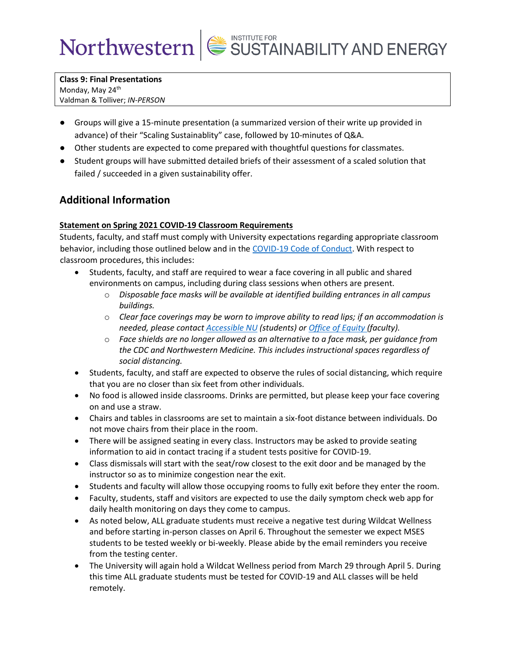**Class 9: Final Presentations** Monday, May 24<sup>th</sup> Valdman & Tolliver; *IN-PERSON*

- Groups will give a 15-minute presentation (a summarized version of their write up provided in advance) of their "Scaling Sustainablity" case, followed by 10-minutes of Q&A.
- Other students are expected to come prepared with thoughtful questions for classmates.
- Student groups will have submitted detailed briefs of their assessment of a scaled solution that failed / succeeded in a given sustainability offer.

### **Additional Information**

### **Statement on Spring 2021 COVID-19 Classroom Requirements**

Students, faculty, and staff must comply with University expectations regarding appropriate classroom behavior, including those outlined below and in the [COVID-19 Code of Conduct.](https://www.northwestern.edu/communitystandards/about-us/northwestern-university-student-expectations-covid-19-code-of-conduct.html) With respect to classroom procedures, this includes:

- Students, faculty, and staff are required to wear a face covering in all public and shared environments on campus, including during class sessions when others are present.
	- o *Disposable face masks will be available at identified building entrances in all campus buildings.*
	- o *Clear face coverings may be worn to improve ability to read lips; if an accommodation is needed, please contact [Accessible NU](https://www.northwestern.edu/accessiblenu/) (students) or [Office of Equity](https://www.northwestern.edu/equity/) (faculty).*
	- o *Face shields are no longer allowed as an alternative to a face mask, per guidance from the CDC and Northwestern Medicine. This includes instructional spaces regardless of social distancing.*
- Students, faculty, and staff are expected to observe the rules of social distancing, which require that you are no closer than six feet from other individuals.
- No food is allowed inside classrooms. Drinks are permitted, but please keep your face covering on and use a straw.
- Chairs and tables in classrooms are set to maintain a six-foot distance between individuals. Do not move chairs from their place in the room.
- There will be assigned seating in every class. Instructors may be asked to provide seating information to aid in contact tracing if a student tests positive for COVID-19.
- Class dismissals will start with the seat/row closest to the exit door and be managed by the instructor so as to minimize congestion near the exit.
- Students and faculty will allow those occupying rooms to fully exit before they enter the room.
- Faculty, students, staff and visitors are expected to use the daily symptom check web app for daily health monitoring on days they come to campus.
- As noted below, ALL graduate students must receive a negative test during Wildcat Wellness and before starting in-person classes on April 6. Throughout the semester we expect MSES students to be tested weekly or bi-weekly. Please abide by the email reminders you receive from the testing center.
- The University will again hold a Wildcat Wellness period from March 29 through April 5. During this time ALL graduate students must be tested for COVID-19 and ALL classes will be held remotely.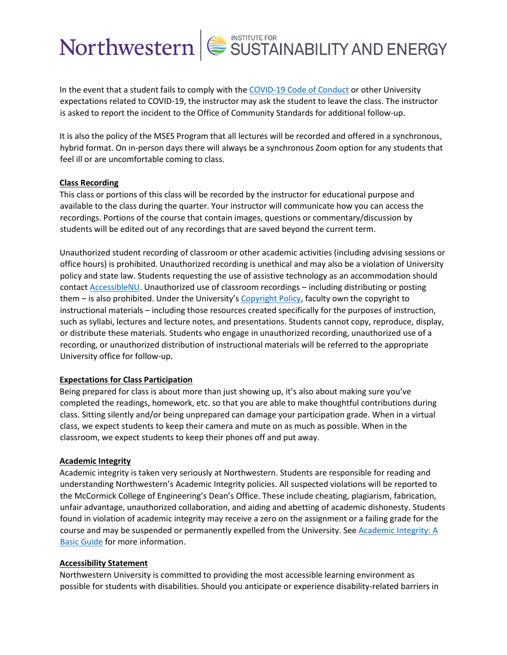In the event that a student fails to comply with the [COVID-19 Code of Conduct](https://www.northwestern.edu/communitystandards/about-us/northwestern-university-student-expectations-covid-19-code-of-conduct.html) or other University expectations related to COVID-19, the instructor may ask the student to leave the class. The instructor is asked to report the incident to the Office of Community Standards for additional follow-up.

It is also the policy of the MSES Program that all lectures will be recorded and offered in a synchronous, hybrid format. On in-person days there will always be a synchronous Zoom option for any students that feel ill or are uncomfortable coming to class.

#### **Class Recording**

This class or portions of this class will be recorded by the instructor for educational purpose and available to the class during the quarter. Your instructor will communicate how you can access the recordings. Portions of the course that contain images, questions or commentary/discussion by students will be edited out of any recordings that are saved beyond the current term.

Unauthorized student recording of classroom or other academic activities (including advising sessions or office hours) is prohibited. Unauthorized recording is unethical and may also be a violation of University policy and state law. Students requesting the use of assistive technology as an accommodation should contac[t AccessibleNU.](https://www.northwestern.edu/accessiblenu/) Unauthorized use of classroom recordings – including distributing or posting them – is also prohibited. Under the University's [Copyright Policy,](https://www.invo.northwestern.edu/invention-disclosure/policies-forms/copyright-policy/) faculty own the copyright to instructional materials – including those resources created specifically for the purposes of instruction, such as syllabi, lectures and lecture notes, and presentations. Students cannot copy, reproduce, display, or distribute these materials. Students who engage in unauthorized recording, unauthorized use of a recording, or unauthorized distribution of instructional materials will be referred to the appropriate University office for follow-up.

#### **Expectations for Class Participation**

Being prepared for class is about more than just showing up, it's also about making sure you've completed the readings, homework, etc. so that you are able to make thoughtful contributions during class. Sitting silently and/or being unprepared can damage your participation grade. When in a virtual class, we expect students to keep their camera and mute on as much as possible. When in the classroom, we expect students to keep their phones off and put away.

#### **Academic Integrity**

Academic integrity is taken very seriously at Northwestern. Students are responsible for reading and understanding Northwestern's Academic Integrity policies. All suspected violations will be reported to the McCormick College of Engineering's Dean's Office. These include cheating, plagiarism, fabrication, unfair advantage, unauthorized collaboration, and aiding and abetting of academic dishonesty. Students found in violation of academic integrity may receive a zero on the assignment or a failing grade for the course and may be suspended or permanently expelled from the University. See Academic Integrity: A [Basic Guide](https://www.northwestern.edu/provost/policies/academic-integrity/Academic-Integrity-Guide-August-2019.pdf) for more information.

#### **Accessibility Statement**

Northwestern University is committed to providing the most accessible learning environment as possible for students with disabilities. Should you anticipate or experience disability-related barriers in